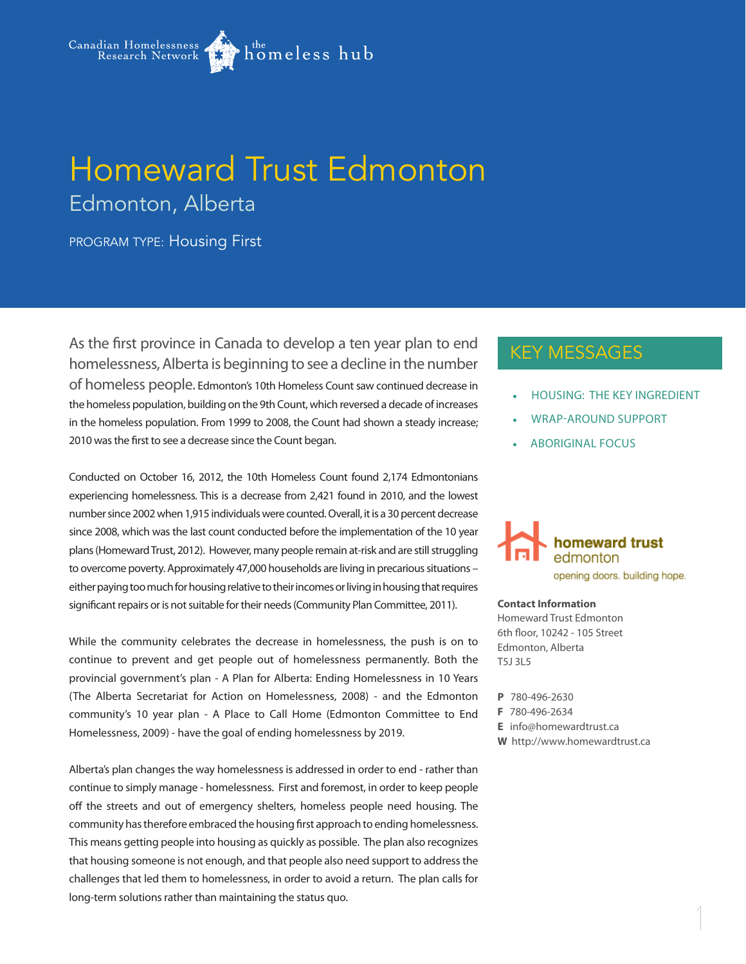

## Homeward Trust Edmonton Edmonton, Alberta

PROGRAM TYPE: Housing First

As the first province in Canada to develop a ten year plan to end homelessness, Alberta is beginning to see a decline in the number of homeless people. Edmonton's 10th Homeless Count saw continued decrease in the homeless population, building on the 9th Count, which reversed a decade of increases in the homeless population. From 1999 to 2008, the Count had shown a steady increase; 2010 was the first to see a decrease since the Count began.

Conducted on October 16, 2012, the 10th Homeless Count found 2,174 Edmontonians experiencing homelessness. This is a decrease from 2,421 found in 2010, and the lowest number since 2002 when 1,915 individuals were counted. Overall, it is a 30 percent decrease since 2008, which was the last count conducted before the implementation of the 10 year plans (Homeward Trust, 2012). However, many people remain at-risk and are still struggling to overcome poverty. Approximately 47,000 households are living in precarious situations – either paying too much for housing relative to their incomes or living in housing that requires significant repairs or is not suitable for their needs (Community Plan Committee, 2011).

While the community celebrates the decrease in homelessness, the push is on to continue to prevent and get people out of homelessness permanently. Both the provincial government's plan - A Plan for Alberta: Ending Homelessness in 10 Years (The Alberta Secretariat for Action on Homelessness, 2008) - and the Edmonton community's 10 year plan - A Place to Call Home (Edmonton Committee to End Homelessness, 2009) - have the goal of ending homelessness by 2019.

Alberta's plan changes the way homelessness is addressed in order to end - rather than continue to simply manage - homelessness. First and foremost, in order to keep people off the streets and out of emergency shelters, homeless people need housing. The community has therefore embraced the housing first approach to ending homelessness. This means getting people into housing as quickly as possible. The plan also recognizes that housing someone is not enough, and that people also need support to address the challenges that led them to homelessness, in order to avoid a return. The plan calls for long-term solutions rather than maintaining the status quo.

## KEY MESSAGES

- **HOUSING: THE KEY INGREDIENT**
- WRAP-AROUND SUPPORT
- **ABORIGINAL FOCUS**



#### **Contact Information**

Homeward Trust Edmonton 6th floor, 10242 - 105 Street Edmonton, Alberta T5J 3L5

- **P** 780-496-2630
- **F** 780-496-2634
- **E** info@homewardtrust.ca
- **W** http://www.homewardtrust.ca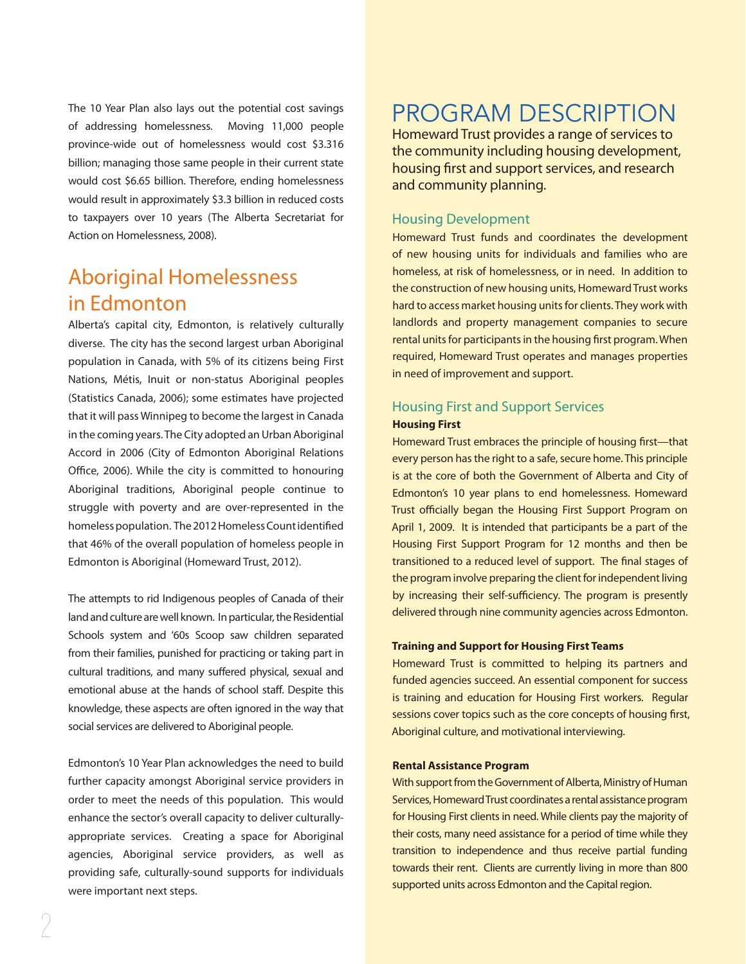The 10 Year Plan also lays out the potential cost savings of addressing homelessness. Moving 11,000 people province-wide out of homelessness would cost \$3.316 billion; managing those same people in their current state would cost \$6.65 billion. Therefore, ending homelessness would result in approximately \$3.3 billion in reduced costs to taxpayers over 10 years (The Alberta Secretariat for Action on Homelessness, 2008).

## Aboriginal Homelessness in Edmonton

Alberta's capital city, Edmonton, is relatively culturally diverse. The city has the second largest urban Aboriginal population in Canada, with 5% of its citizens being First Nations, Métis, Inuit or non-status Aboriginal peoples (Statistics Canada, 2006); some estimates have projected that it will pass Winnipeg to become the largest in Canada in the coming years. The City adopted an Urban Aboriginal Accord in 2006 (City of Edmonton Aboriginal Relations Office, 2006). While the city is committed to honouring Aboriginal traditions, Aboriginal people continue to struggle with poverty and are over-represented in the homeless population. The 2012 Homeless Count identified that 46% of the overall population of homeless people in Edmonton is Aboriginal (Homeward Trust, 2012).

The attempts to rid Indigenous peoples of Canada of their land and culture are well known. In particular, the Residential Schools system and '60s Scoop saw children separated from their families, punished for practicing or taking part in cultural traditions, and many suffered physical, sexual and emotional abuse at the hands of school staff. Despite this knowledge, these aspects are often ignored in the way that social services are delivered to Aboriginal people.

Edmonton's 10 Year Plan acknowledges the need to build further capacity amongst Aboriginal service providers in order to meet the needs of this population. This would enhance the sector's overall capacity to deliver culturallyappropriate services. Creating a space for Aboriginal agencies, Aboriginal service providers, as well as providing safe, culturally-sound supports for individuals were important next steps.

## PROGRAM DESCRIPTION

Homeward Trust provides a range of services to the community including housing development, housing first and support services, and research and community planning.

## Housing Development

Homeward Trust funds and coordinates the development of new housing units for individuals and families who are homeless, at risk of homelessness, or in need. In addition to the construction of new housing units, Homeward Trust works hard to access market housing units for clients. They work with landlords and property management companies to secure rental units for participants in the housing first program. When required, Homeward Trust operates and manages properties in need of improvement and support.

## Housing First and Support Services **Housing First**

Homeward Trust embraces the principle of housing first—that every person has the right to a safe, secure home. This principle is at the core of both the Government of Alberta and City of Edmonton's 10 year plans to end homelessness. Homeward Trust officially began the Housing First Support Program on April 1, 2009. It is intended that participants be a part of the Housing First Support Program for 12 months and then be transitioned to a reduced level of support. The final stages of the program involve preparing the client for independent living by increasing their self-sufficiency. The program is presently delivered through nine community agencies across Edmonton.

#### **Training and Support for Housing First Teams**

Homeward Trust is committed to helping its partners and funded agencies succeed. An essential component for success is training and education for Housing First workers. Regular sessions cover topics such as the core concepts of housing first, Aboriginal culture, and motivational interviewing.

#### **Rental Assistance Program**

With support from the Government of Alberta, Ministry of Human Services, Homeward Trust coordinates a rental assistance program for Housing First clients in need. While clients pay the majority of their costs, many need assistance for a period of time while they transition to independence and thus receive partial funding towards their rent. Clients are currently living in more than 800 supported units across Edmonton and the Capital region.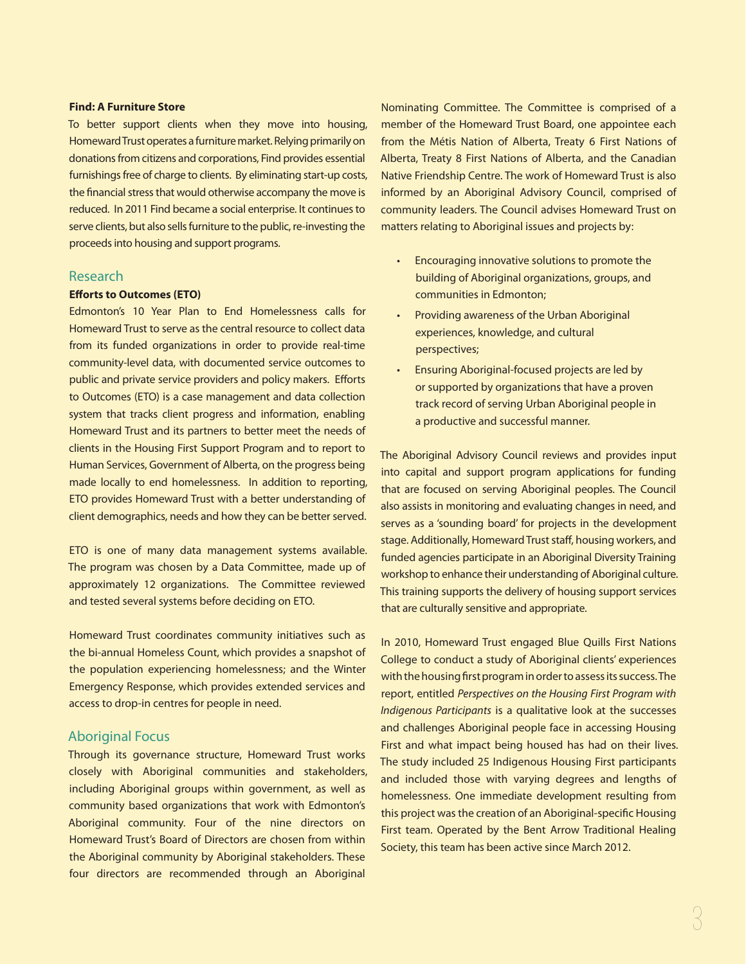#### **Find: A Furniture Store**

To better support clients when they move into housing, Homeward Trust operates a furniture market. Relying primarily on donations from citizens and corporations, Find provides essential furnishings free of charge to clients. By eliminating start-up costs, the financial stress that would otherwise accompany the move is reduced. In 2011 Find became a social enterprise. It continues to serve clients, but also sells furniture to the public, re-investing the proceeds into housing and support programs.

#### Research

#### **Efforts to Outcomes (ETO)**

Edmonton's 10 Year Plan to End Homelessness calls for Homeward Trust to serve as the central resource to collect data from its funded organizations in order to provide real-time community-level data, with documented service outcomes to public and private service providers and policy makers. Efforts to Outcomes (ETO) is a case management and data collection system that tracks client progress and information, enabling Homeward Trust and its partners to better meet the needs of clients in the Housing First Support Program and to report to Human Services, Government of Alberta, on the progress being made locally to end homelessness. In addition to reporting, ETO provides Homeward Trust with a better understanding of client demographics, needs and how they can be better served.

ETO is one of many data management systems available. The program was chosen by a Data Committee, made up of approximately 12 organizations. The Committee reviewed and tested several systems before deciding on ETO.

Homeward Trust coordinates community initiatives such as the bi-annual Homeless Count, which provides a snapshot of the population experiencing homelessness; and the Winter Emergency Response, which provides extended services and access to drop-in centres for people in need.

### Aboriginal Focus

Through its governance structure, Homeward Trust works closely with Aboriginal communities and stakeholders, including Aboriginal groups within government, as well as community based organizations that work with Edmonton's Aboriginal community. Four of the nine directors on Homeward Trust's Board of Directors are chosen from within the Aboriginal community by Aboriginal stakeholders. These four directors are recommended through an Aboriginal

Nominating Committee. The Committee is comprised of a member of the Homeward Trust Board, one appointee each from the Métis Nation of Alberta, Treaty 6 First Nations of Alberta, Treaty 8 First Nations of Alberta, and the Canadian Native Friendship Centre. The work of Homeward Trust is also informed by an Aboriginal Advisory Council, comprised of community leaders. The Council advises Homeward Trust on matters relating to Aboriginal issues and projects by:

- Encouraging innovative solutions to promote the building of Aboriginal organizations, groups, and communities in Edmonton;
- Providing awareness of the Urban Aboriginal experiences, knowledge, and cultural perspectives;
- Ensuring Aboriginal-focused projects are led by or supported by organizations that have a proven track record of serving Urban Aboriginal people in a productive and successful manner.

The Aboriginal Advisory Council reviews and provides input into capital and support program applications for funding that are focused on serving Aboriginal peoples. The Council also assists in monitoring and evaluating changes in need, and serves as a 'sounding board' for projects in the development stage. Additionally, Homeward Trust staff, housing workers, and funded agencies participate in an Aboriginal Diversity Training workshop to enhance their understanding of Aboriginal culture. This training supports the delivery of housing support services that are culturally sensitive and appropriate.

In 2010, Homeward Trust engaged Blue Quills First Nations College to conduct a study of Aboriginal clients' experiences with the housing first program in order to assess its success. The report, entitled *Perspectives on the Housing First Program with Indigenous Participants* is a qualitative look at the successes and challenges Aboriginal people face in accessing Housing First and what impact being housed has had on their lives. The study included 25 Indigenous Housing First participants and included those with varying degrees and lengths of homelessness. One immediate development resulting from this project was the creation of an Aboriginal-specific Housing First team. Operated by the Bent Arrow Traditional Healing Society, this team has been active since March 2012.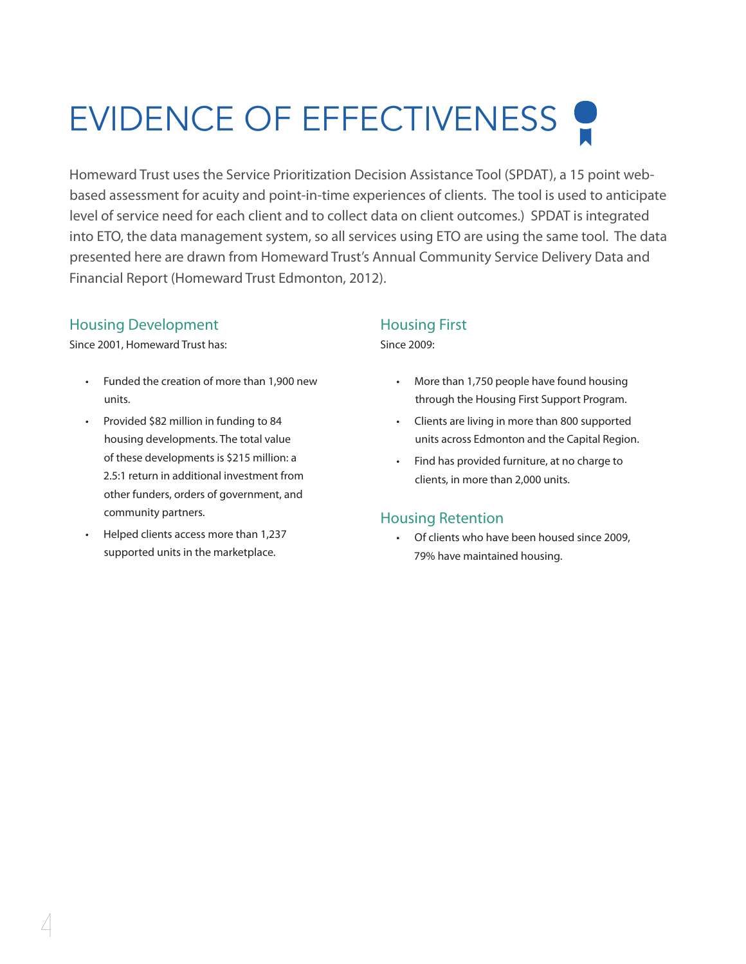# EVIDENCE OF EFFECTIVENESS

Homeward Trust uses the Service Prioritization Decision Assistance Tool (SPDAT), a 15 point webbased assessment for acuity and point-in-time experiences of clients. The tool is used to anticipate level of service need for each client and to collect data on client outcomes.) SPDAT is integrated into ETO, the data management system, so all services using ETO are using the same tool. The data presented here are drawn from Homeward Trust's Annual Community Service Delivery Data and Financial Report (Homeward Trust Edmonton, 2012).

## Housing Development

Since 2001, Homeward Trust has:

- • Funded the creation of more than 1,900 new units.
- • Provided \$82 million in funding to 84 housing developments. The total value of these developments is \$215 million: a 2.5:1 return in additional investment from other funders, orders of government, and community partners.
- • Helped clients access more than 1,237 supported units in the marketplace.

## Housing First

Since 2009:

- More than 1,750 people have found housing through the Housing First Support Program.
- Clients are living in more than 800 supported units across Edmonton and the Capital Region.
- Find has provided furniture, at no charge to clients, in more than 2,000 units.

## Housing Retention

• Of clients who have been housed since 2009, 79% have maintained housing.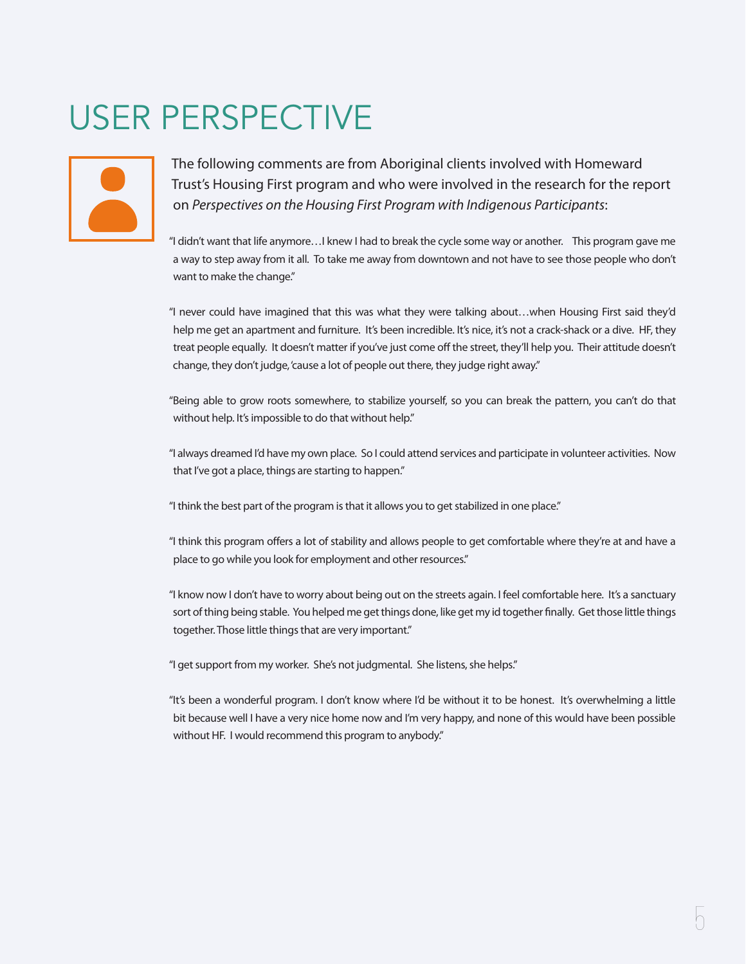## USER PERSPECTIVE



The following comments are from Aboriginal clients involved with Homeward Trust's Housing First program and who were involved in the research for the report on *Perspectives on the Housing First Program with Indigenous Participants*:

"I didn't want that life anymore…I knew I had to break the cycle some way or another. This program gave me a way to step away from it all. To take me away from downtown and not have to see those people who don't want to make the change."

"I never could have imagined that this was what they were talking about…when Housing First said they'd help me get an apartment and furniture. It's been incredible. It's nice, it's not a crack-shack or a dive. HF, they treat people equally. It doesn't matter if you've just come off the street, they'll help you. Their attitude doesn't change, they don't judge, 'cause a lot of people out there, they judge right away."

"Being able to grow roots somewhere, to stabilize yourself, so you can break the pattern, you can't do that without help. It's impossible to do that without help."

"I always dreamed I'd have my own place. So I could attend services and participate in volunteer activities. Now that I've got a place, things are starting to happen."

"I think the best part of the program is that it allows you to get stabilized in one place."

"I think this program offers a lot of stability and allows people to get comfortable where they're at and have a place to go while you look for employment and other resources."

"I know now I don't have to worry about being out on the streets again. I feel comfortable here. It's a sanctuary sort of thing being stable. You helped me get things done, like get my id together finally. Get those little things together. Those little things that are very important."

"I get support from my worker. She's not judgmental. She listens, she helps."

"It's been a wonderful program. I don't know where I'd be without it to be honest. It's overwhelming a little bit because well I have a very nice home now and I'm very happy, and none of this would have been possible without HF. I would recommend this program to anybody."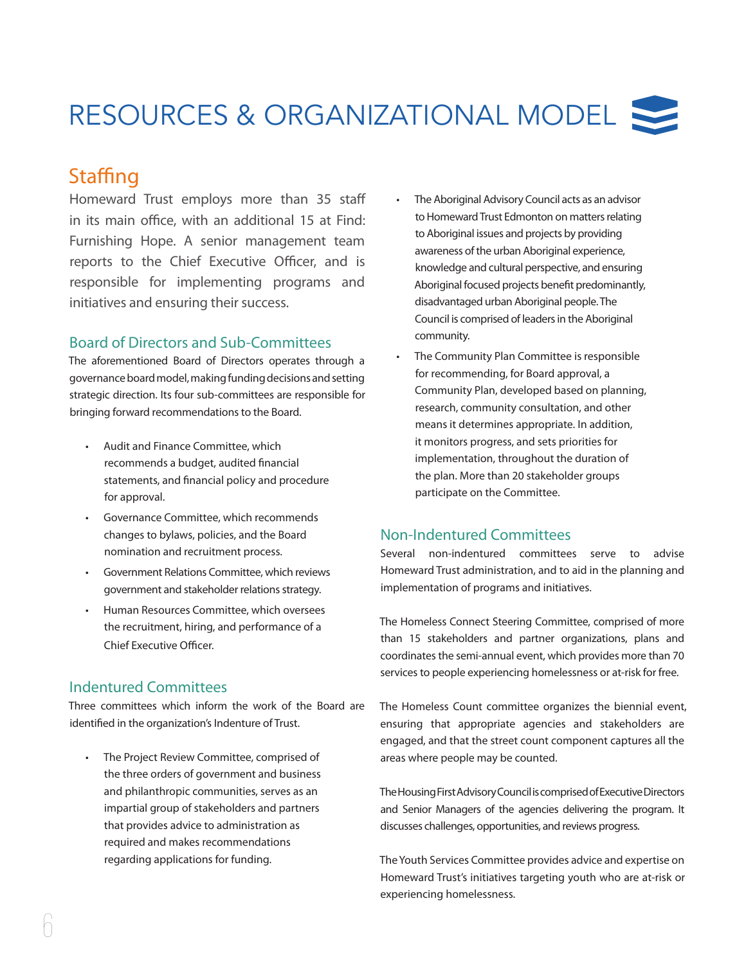## RESOURCES & ORGANIZATIONAL MODEL

## **Staffing**

Homeward Trust employs more than 35 staff in its main office, with an additional 15 at Find: Furnishing Hope. A senior management team reports to the Chief Executive Officer, and is responsible for implementing programs and initiatives and ensuring their success.

## Board of Directors and Sub-Committees

The aforementioned Board of Directors operates through a governance board model, making funding decisions and setting strategic direction. Its four sub-committees are responsible for bringing forward recommendations to the Board.

- • Audit and Finance Committee, which recommends a budget, audited financial statements, and financial policy and procedure for approval.
- • Governance Committee, which recommends changes to bylaws, policies, and the Board nomination and recruitment process.
- • Government Relations Committee, which reviews government and stakeholder relations strategy.
- • Human Resources Committee, which oversees the recruitment, hiring, and performance of a Chief Executive Officer.

## Indentured Committees

Three committees which inform the work of the Board are identified in the organization's Indenture of Trust.

• The Project Review Committee, comprised of the three orders of government and business and philanthropic communities, serves as an impartial group of stakeholders and partners that provides advice to administration as required and makes recommendations regarding applications for funding.

- The Aboriginal Advisory Council acts as an advisor to Homeward Trust Edmonton on matters relating to Aboriginal issues and projects by providing awareness of the urban Aboriginal experience, knowledge and cultural perspective, and ensuring Aboriginal focused projects benefit predominantly, disadvantaged urban Aboriginal people. The Council is comprised of leaders in the Aboriginal community.
- The Community Plan Committee is responsible for recommending, for Board approval, a Community Plan, developed based on planning, research, community consultation, and other means it determines appropriate. In addition, it monitors progress, and sets priorities for implementation, throughout the duration of the plan. More than 20 stakeholder groups participate on the Committee.

## Non-Indentured Committees

Several non-indentured committees serve to advise Homeward Trust administration, and to aid in the planning and implementation of programs and initiatives.

The Homeless Connect Steering Committee, comprised of more than 15 stakeholders and partner organizations, plans and coordinates the semi-annual event, which provides more than 70 services to people experiencing homelessness or at-risk for free.

The Homeless Count committee organizes the biennial event, ensuring that appropriate agencies and stakeholders are engaged, and that the street count component captures all the areas where people may be counted.

The Housing First Advisory Council is comprised of Executive Directors and Senior Managers of the agencies delivering the program. It discusses challenges, opportunities, and reviews progress.

The Youth Services Committee provides advice and expertise on Homeward Trust's initiatives targeting youth who are at-risk or experiencing homelessness.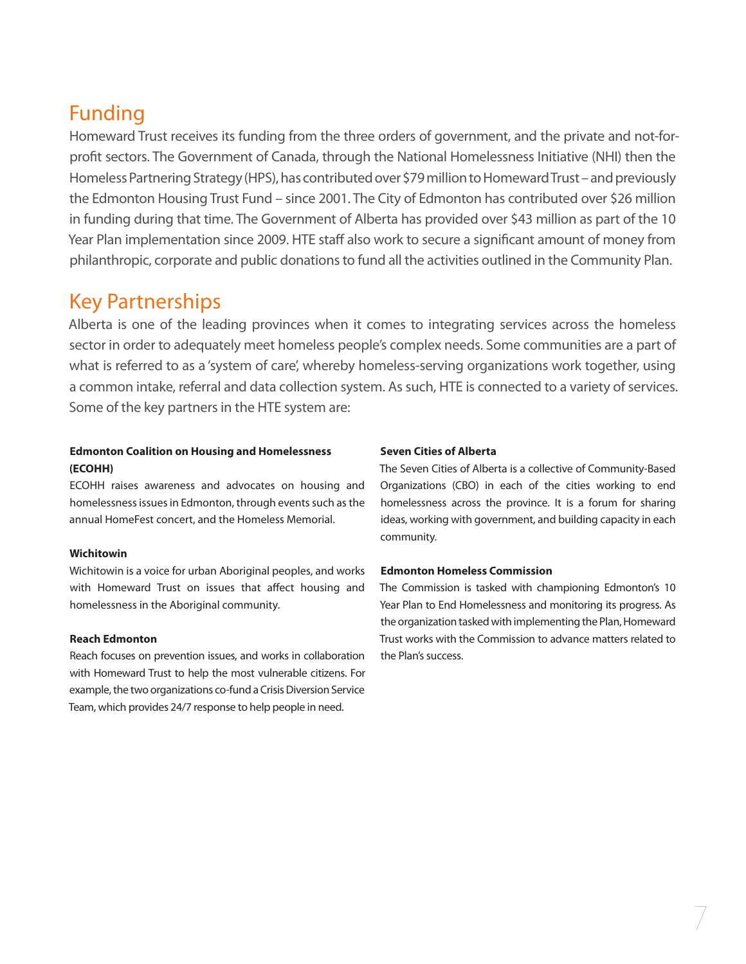## Funding

Homeward Trust receives its funding from the three orders of government, and the private and not-forprofit sectors. The Government of Canada, through the National Homelessness Initiative (NHI) then the Homeless Partnering Strategy (HPS), has contributed over \$79 million to Homeward Trust – and previously the Edmonton Housing Trust Fund – since 2001. The City of Edmonton has contributed over \$26 million in funding during that time. The Government of Alberta has provided over \$43 million as part of the 10 Year Plan implementation since 2009. HTE staff also work to secure a significant amount of money from philanthropic, corporate and public donations to fund all the activities outlined in the Community Plan.

## Key Partnerships

Alberta is one of the leading provinces when it comes to integrating services across the homeless sector in order to adequately meet homeless people's complex needs. Some communities are a part of what is referred to as a 'system of care', whereby homeless-serving organizations work together, using a common intake, referral and data collection system. As such, HTE is connected to a variety of services. Some of the key partners in the HTE system are:

### **Edmonton Coalition on Housing and Homelessness (ECOHH)**

ECOHH raises awareness and advocates on housing and homelessness issues in Edmonton, through events such as the annual HomeFest concert, and the Homeless Memorial.

#### **Wichitowin**

Wichitowin is a voice for urban Aboriginal peoples, and works with Homeward Trust on issues that affect housing and homelessness in the Aboriginal community.

#### **Reach Edmonton**

Reach focuses on prevention issues, and works in collaboration with Homeward Trust to help the most vulnerable citizens. For example, the two organizations co-fund a Crisis Diversion Service Team, which provides 24/7 response to help people in need.

### **Seven Cities of Alberta**

The Seven Cities of Alberta is a collective of Community-Based Organizations (CBO) in each of the cities working to end homelessness across the province. It is a forum for sharing ideas, working with government, and building capacity in each community.

### **Edmonton Homeless Commission**

The Commission is tasked with championing Edmonton's 10 Year Plan to End Homelessness and monitoring its progress. As the organization tasked with implementing the Plan, Homeward Trust works with the Commission to advance matters related to the Plan's success.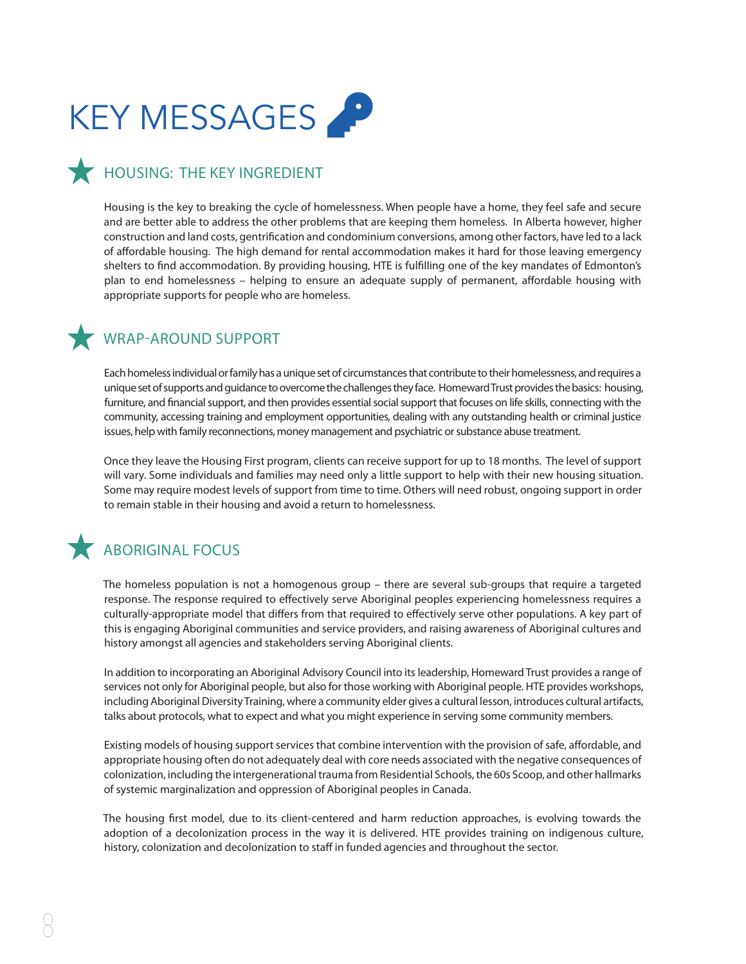

## **HOUSING: THE KEY INGREDIENT**

Housing is the key to breaking the cycle of homelessness. When people have a home, they feel safe and secure and are better able to address the other problems that are keeping them homeless. In Alberta however, higher construction and land costs, gentrification and condominium conversions, among other factors, have led to a lack of affordable housing. The high demand for rental accommodation makes it hard for those leaving emergency shelters to find accommodation. By providing housing, HTE is fulfilling one of the key mandates of Edmonton's plan to end homelessness – helping to ensure an adequate supply of permanent, affordable housing with appropriate supports for people who are homeless.

## WRAP-AROUND SUPPORT

Each homeless individual or family has a unique set of circumstances that contribute to their homelessness, and requires a unique set of supports and guidance to overcome the challenges they face. Homeward Trust provides the basics: housing, furniture, and financial support, and then provides essential social support that focuses on life skills, connecting with the community, accessing training and employment opportunities, dealing with any outstanding health or criminal justice issues, help with family reconnections, money management and psychiatric or substance abuse treatment.

Once they leave the Housing First program, clients can receive support for up to 18 months. The level of support will vary. Some individuals and families may need only a little support to help with their new housing situation. Some may require modest levels of support from time to time. Others will need robust, ongoing support in order to remain stable in their housing and avoid a return to homelessness.

## **ABORIGINAL FOCUS**

The homeless population is not a homogenous group – there are several sub-groups that require a targeted response. The response required to effectively serve Aboriginal peoples experiencing homelessness requires a culturally-appropriate model that differs from that required to effectively serve other populations. A key part of this is engaging Aboriginal communities and service providers, and raising awareness of Aboriginal cultures and history amongst all agencies and stakeholders serving Aboriginal clients.

In addition to incorporating an Aboriginal Advisory Council into its leadership, Homeward Trust provides a range of services not only for Aboriginal people, but also for those working with Aboriginal people. HTE provides workshops, including Aboriginal Diversity Training, where a community elder gives a cultural lesson, introduces cultural artifacts, talks about protocols, what to expect and what you might experience in serving some community members.

Existing models of housing support services that combine intervention with the provision of safe, affordable, and appropriate housing often do not adequately deal with core needs associated with the negative consequences of colonization, including the intergenerational trauma from Residential Schools, the 60s Scoop, and other hallmarks of systemic marginalization and oppression of Aboriginal peoples in Canada.

The housing first model, due to its client-centered and harm reduction approaches, is evolving towards the adoption of a decolonization process in the way it is delivered. HTE provides training on indigenous culture, history, colonization and decolonization to staff in funded agencies and throughout the sector.